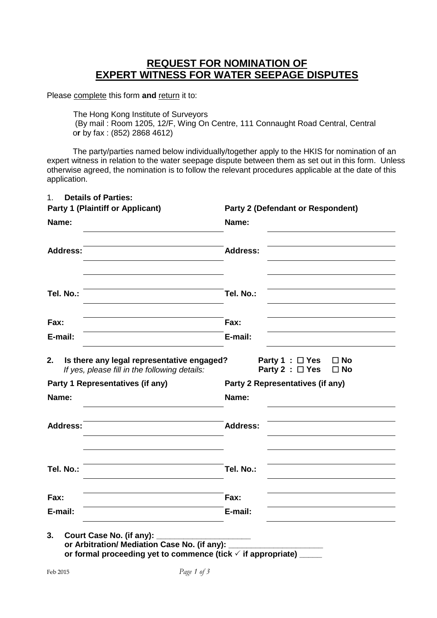# **REQUEST FOR NOMINATION OF EXPERT WITNESS FOR WATER SEEPAGE DISPUTES**

Please complete this form and return it to:

The Hong Kong Institute of Surveyors

 (By mail : Room 1205, 12/F, Wing On Centre, 111 Connaught Road Central, Central o**r** by fax : (852) 2868 4612)

The party/parties named below individually/together apply to the HKIS for nomination of an expert witness in relation to the water seepage dispute between them as set out in this form. Unless otherwise agreed, the nomination is to follow the relevant procedures applicable at the date of this application.

| <b>Party 1 (Plaintiff or Applicant)</b>                                                    | <b>Party 2 (Defendant or Respondent)</b>                                     |
|--------------------------------------------------------------------------------------------|------------------------------------------------------------------------------|
| Name:                                                                                      | Name:                                                                        |
| <b>Address:</b>                                                                            | <b>Address:</b>                                                              |
| Tel. No.:                                                                                  | Tel. No.:                                                                    |
| Fax:                                                                                       | Fax:                                                                         |
| E-mail:                                                                                    | E-mail:                                                                      |
| If yes, please fill in the following details:<br>Party 1 Representatives (if any)<br>Name: | Party 2 : □ Yes<br>$\square$ No<br>Party 2 Representatives (if any)<br>Name: |
| <b>Address:</b>                                                                            | <b>Address:</b>                                                              |
| Tel. No.:                                                                                  | Tel. No.:                                                                    |
| Fax:                                                                                       | Fax:                                                                         |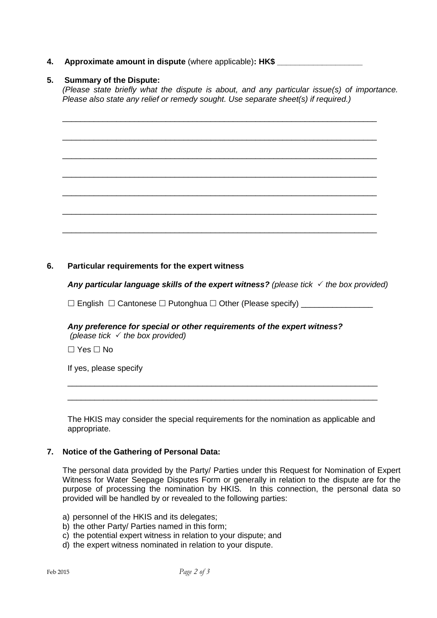# **4.** Approximate amount in dispute (where applicable): HK\$

# **5. Summary of the Dispute:**

*(Please state briefly what the dispute is about, and any particular issue(s) of importance. Please also state any relief or remedy sought. Use separate sheet(s) if required.)*

\_\_\_\_\_\_\_\_\_\_\_\_\_\_\_\_\_\_\_\_\_\_\_\_\_\_\_\_\_\_\_\_\_\_\_\_\_\_\_\_\_\_\_\_\_\_\_\_\_\_\_\_\_\_\_\_\_\_\_\_\_\_\_\_\_\_\_\_\_\_

\_\_\_\_\_\_\_\_\_\_\_\_\_\_\_\_\_\_\_\_\_\_\_\_\_\_\_\_\_\_\_\_\_\_\_\_\_\_\_\_\_\_\_\_\_\_\_\_\_\_\_\_\_\_\_\_\_\_\_\_\_\_\_\_\_\_\_\_\_\_

\_\_\_\_\_\_\_\_\_\_\_\_\_\_\_\_\_\_\_\_\_\_\_\_\_\_\_\_\_\_\_\_\_\_\_\_\_\_\_\_\_\_\_\_\_\_\_\_\_\_\_\_\_\_\_\_\_\_\_\_\_\_\_\_\_\_\_\_\_\_

\_\_\_\_\_\_\_\_\_\_\_\_\_\_\_\_\_\_\_\_\_\_\_\_\_\_\_\_\_\_\_\_\_\_\_\_\_\_\_\_\_\_\_\_\_\_\_\_\_\_\_\_\_\_\_\_\_\_\_\_\_\_\_\_\_\_\_\_\_\_

\_\_\_\_\_\_\_\_\_\_\_\_\_\_\_\_\_\_\_\_\_\_\_\_\_\_\_\_\_\_\_\_\_\_\_\_\_\_\_\_\_\_\_\_\_\_\_\_\_\_\_\_\_\_\_\_\_\_\_\_\_\_\_\_\_\_\_\_\_\_

\_\_\_\_\_\_\_\_\_\_\_\_\_\_\_\_\_\_\_\_\_\_\_\_\_\_\_\_\_\_\_\_\_\_\_\_\_\_\_\_\_\_\_\_\_\_\_\_\_\_\_\_\_\_\_\_\_\_\_\_\_\_\_\_\_\_\_\_\_\_

\_\_\_\_\_\_\_\_\_\_\_\_\_\_\_\_\_\_\_\_\_\_\_\_\_\_\_\_\_\_\_\_\_\_\_\_\_\_\_\_\_\_\_\_\_\_\_\_\_\_\_\_\_\_\_\_\_\_\_\_\_\_\_\_\_\_\_\_\_\_

# **6. Particular requirements for the expert witness**

*Any particular language skills of the expert witness? (please tick the box provided)* 

 $\square$  English  $\square$  Cantonese  $\square$  Putonghua  $\square$  Other (Please specify)

#### *Any preference for special or other requirements of the expert witness? (please tick the box provided)*

 $\Box$  Yes  $\Box$  No

If yes, please specify

The HKIS may consider the special requirements for the nomination as applicable and appropriate.

\_\_\_\_\_\_\_\_\_\_\_\_\_\_\_\_\_\_\_\_\_\_\_\_\_\_\_\_\_\_\_\_\_\_\_\_\_\_\_\_\_\_\_\_\_\_\_\_\_\_\_\_\_\_\_\_\_\_\_\_\_\_\_\_\_\_\_\_\_ \_\_\_\_\_\_\_\_\_\_\_\_\_\_\_\_\_\_\_\_\_\_\_\_\_\_\_\_\_\_\_\_\_\_\_\_\_\_\_\_\_\_\_\_\_\_\_\_\_\_\_\_\_\_\_\_\_\_\_\_\_\_\_\_\_\_\_\_\_

### **7. Notice of the Gathering of Personal Data:**

The personal data provided by the Party/ Parties under this Request for Nomination of Expert Witness for Water Seepage Disputes Form or generally in relation to the dispute are for the purpose of processing the nomination by HKIS. In this connection, the personal data so provided will be handled by or revealed to the following parties:

- a) personnel of the HKIS and its delegates;
- b) the other Party/ Parties named in this form;
- c) the potential expert witness in relation to your dispute; and
- d) the expert witness nominated in relation to your dispute.